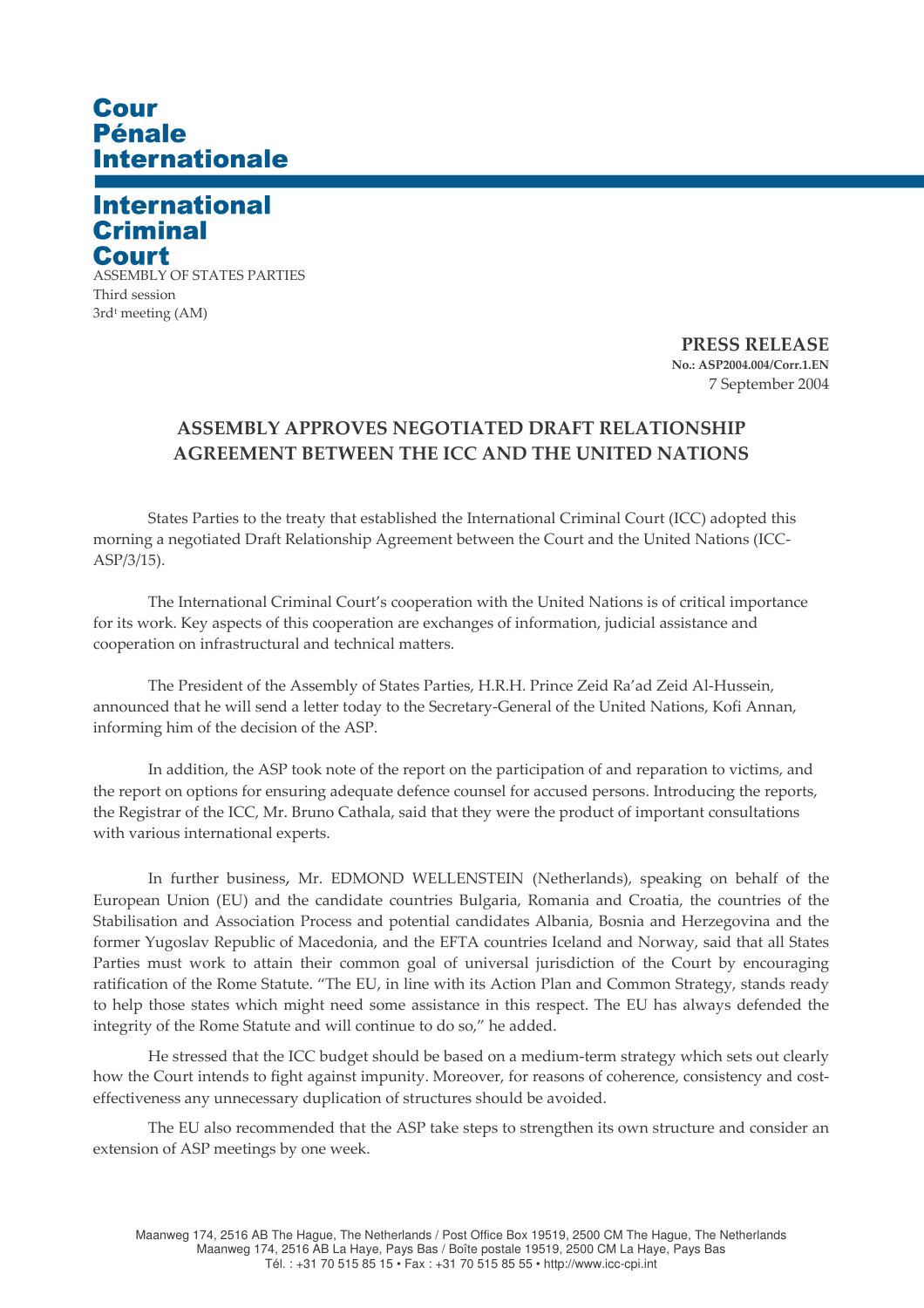## Cour Pénale **Internationale**

## **International Criminal** Court

**ASSEMBLY OF STATES PARTIES** Third session 3rd<sup>t</sup> meeting (AM)

> **PRESS RELEASE** No.: ASP2004.004/Corr.1.EN 7 September 2004

## ASSEMBLY APPROVES NEGOTIATED DRAFT RELATIONSHIP **AGREEMENT BETWEEN THE ICC AND THE UNITED NATIONS**

States Parties to the treaty that established the International Criminal Court (ICC) adopted this morning a negotiated Draft Relationship Agreement between the Court and the United Nations (ICC- $ASP/3/15$ ).

The International Criminal Court's cooperation with the United Nations is of critical importance for its work. Key aspects of this cooperation are exchanges of information, judicial assistance and cooperation on infrastructural and technical matters.

The President of the Assembly of States Parties, H.R.H. Prince Zeid Ra'ad Zeid Al-Hussein, announced that he will send a letter today to the Secretary-General of the United Nations, Kofi Annan, informing him of the decision of the ASP.

In addition, the ASP took note of the report on the participation of and reparation to victims, and the report on options for ensuring adequate defence counsel for accused persons. Introducing the reports, the Registrar of the ICC, Mr. Bruno Cathala, said that they were the product of important consultations with various international experts.

In further business, Mr. EDMOND WELLENSTEIN (Netherlands), speaking on behalf of the European Union (EU) and the candidate countries Bulgaria, Romania and Croatia, the countries of the Stabilisation and Association Process and potential candidates Albania, Bosnia and Herzegovina and the former Yugoslav Republic of Macedonia, and the EFTA countries Iceland and Norway, said that all States Parties must work to attain their common goal of universal jurisdiction of the Court by encouraging ratification of the Rome Statute. "The EU, in line with its Action Plan and Common Strategy, stands ready to help those states which might need some assistance in this respect. The EU has always defended the integrity of the Rome Statute and will continue to do so," he added.

He stressed that the ICC budget should be based on a medium-term strategy which sets out clearly how the Court intends to fight against impunity. Moreover, for reasons of coherence, consistency and costeffectiveness any unnecessary duplication of structures should be avoided.

The EU also recommended that the ASP take steps to strengthen its own structure and consider an extension of ASP meetings by one week.